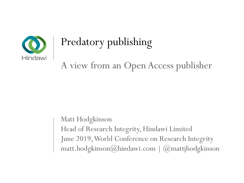

# Predatory publishing

A view from an Open Access publisher

Matt Hodgkinson Head of Research Integrity, Hindawi Limited June 2019, World Conference on Research Integrity matt.hodgkinson@hindawi.com | @mattjhodgkinson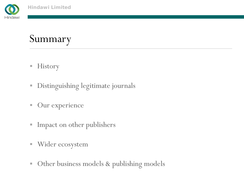

Hindawi

#### Summary

- **History**
- Distinguishing legitimate journals
- **Our experience**
- **Impact on other publishers**
- Wider ecosystem
- $\Box$ Other business models & publishing models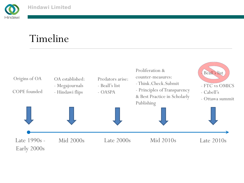

#### Timeline

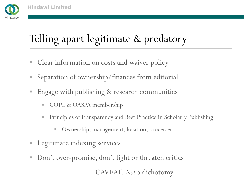

## Telling apart legitimate & predatory

- **Clear information on costs and waiver policy**
- Separation of ownership/finances from editorial
- Engage with publishing & research communities
	- ш COPE & OASPA membership
	- ш Principles of Transparency and Best Practice in Scholarly Publishing
		- Ownership, management, location, processes
- **Legitimate indexing services**
- $\overline{\phantom{a}}$ Don't over-promise, don't fight or threaten critics

CAVEAT: *Not* a dichotomy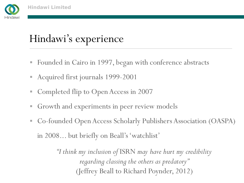

### Hindawi's experience

- Founded in Cairo in 1997, began with conference abstracts
- Acquired first journals 1999-2001
- Completed flip to Open Access in 2007
- $\Box$ Growth and experiments in peer review models
- Co-founded Open Access Scholarly Publishers Association (OASPA) in 2008... but briefly on Beall's 'watchlist'

*"I think my inclusion of* ISRN *may have hurt my credibility regarding classing the others as predatory"* (Jeffrey Beall to Richard Poynder, 2012)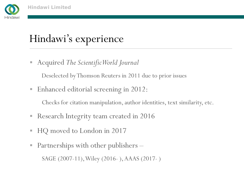

### Hindawi's experience

Acquired *The Scientific World Journal*

Deselected by Thomson Reuters in 2011 due to prior issues

Enhanced editorial screening in 2012:

Checks for citation manipulation, author identities, text similarity, etc.

- Research Integrity team created in 2016
- HQ moved to London in 2017
- Partnerships with other publishers – SAGE (2007-11), Wiley (2016- ), AAAS (2017- )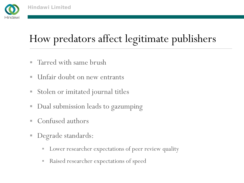

## How predators affect legitimate publishers

- $\overline{\phantom{a}}$ Tarred with same brush
- $\overline{\phantom{a}}$ Unfair doubt on new entrants
- Stolen or imitated journal titles
- $\Box$ Dual submission leads to gazumping
- Confused authors
- Degrade standards:
	- Е Lower researcher expectations of peer review quality
	- ш Raised researcher expectations of speed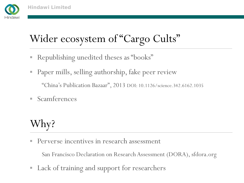

# Wider ecosystem of "Cargo Cults"

- Republishing unedited theses as "books"
- Paper mills, selling authorship, fake peer review

"China's Publication Bazaar", 2013 DOI: 10.1126/science.342.6162.1035

**Scamferences** 

## Why?

Ľ, Perverse incentives in research assessment

San Francisco Declaration on Research Assessment (DORA), sfdora.org

 $\Box$ Lack of training and support for researchers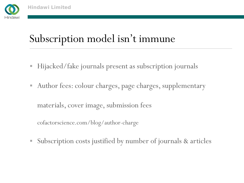

### Subscription model isn't immune

- Hijacked/fake journals present as subscription journals
- Author fees: colour charges, page charges, supplementary

materials, cover image, submission fees

cofactorscience.com/blog/author-charge

Subscription costs justified by number of journals & articles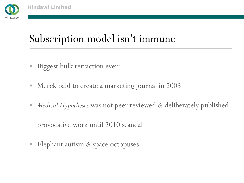

### Subscription model isn't immune

- $\Box$ Biggest bulk retraction ever?
- Merck paid to create a marketing journal in 2003
- *Medical Hypotheses* was not peer reviewed & deliberately published provocative work until 2010 scandal
- Elephant autism & space octopuses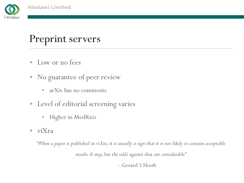

#### Preprint servers

- **Low or no fees**
- No guarantee of peer review
	- $\blacksquare$ arXiv has no comments
- Level of editorial screening varies
	- $\blacksquare$ Higher in MedRxiv
- $\blacksquare$  viXra

*"When a paper is published in viXra, it is usually a sign that it is not likely to contain acceptable* 

*results. It may, but the odds against that are considerable"*

– Gerard 't Hooft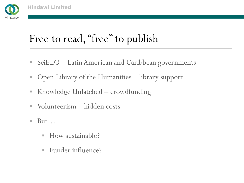

### Free to read, "free" to publish

- SciELO Latin American and Caribbean governments
- Open Library of the Humanities library support
- Knowledge Unlatched crowdfunding
- Volunteerism hidden costs
- $\overline{\phantom{a}}$  But…
	- How sustainable?
	- Funder influence?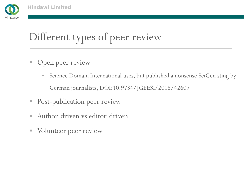

# Different types of peer review

- **Open peer review** 
	- $\blacksquare$  Science Domain International uses, but published a nonsense SciGen sting by German journalists, DOI:10.9734/JGEESI/2018/42607
- **Post-publication peer review**
- Author-driven vs editor-driven
- **Volunteer peer review**